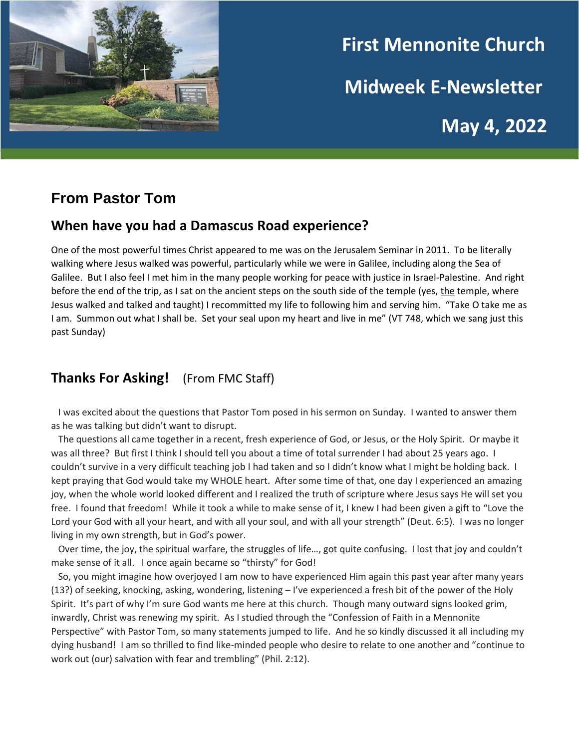

# **First Mennonite Church Midweek E-Newsletter May 4, 2022**

# **From Pastor Tom**

### **When have you had a Damascus Road experience?**

One of the most powerful times Christ appeared to me was on the Jerusalem Seminar in 2011. To be literally walking where Jesus walked was powerful, particularly while we were in Galilee, including along the Sea of Galilee. But I also feel I met him in the many people working for peace with justice in Israel-Palestine. And right before the end of the trip, as I sat on the ancient steps on the south side of the temple (yes, the temple, where Jesus walked and talked and taught) I recommitted my life to following him and serving him. "Take O take me as I am. Summon out what I shall be. Set your seal upon my heart and live in me" (VT 748, which we sang just this past Sunday)

## **Thanks For Asking!** (From FMC Staff)

 I was excited about the questions that Pastor Tom posed in his sermon on Sunday. I wanted to answer them as he was talking but didn't want to disrupt.

 The questions all came together in a recent, fresh experience of God, or Jesus, or the Holy Spirit. Or maybe it was all three? But first I think I should tell you about a time of total surrender I had about 25 years ago. I couldn't survive in a very difficult teaching job I had taken and so I didn't know what I might be holding back. I kept praying that God would take my WHOLE heart. After some time of that, one day I experienced an amazing joy, when the whole world looked different and I realized the truth of scripture where Jesus says He will set you free. I found that freedom! While it took a while to make sense of it, I knew I had been given a gift to "Love the Lord your God with all your heart, and with all your soul, and with all your strength" (Deut. 6:5). I was no longer living in my own strength, but in God's power.

 Over time, the joy, the spiritual warfare, the struggles of life…, got quite confusing. I lost that joy and couldn't make sense of it all. I once again became so "thirsty" for God!

 So, you might imagine how overjoyed I am now to have experienced Him again this past year after many years (13?) of seeking, knocking, asking, wondering, listening – I've experienced a fresh bit of the power of the Holy Spirit. It's part of why I'm sure God wants me here at this church. Though many outward signs looked grim, inwardly, Christ was renewing my spirit. As I studied through the "Confession of Faith in a Mennonite Perspective" with Pastor Tom, so many statements jumped to life. And he so kindly discussed it all including my dying husband! I am so thrilled to find like-minded people who desire to relate to one another and "continue to work out (our) salvation with fear and trembling" (Phil. 2:12).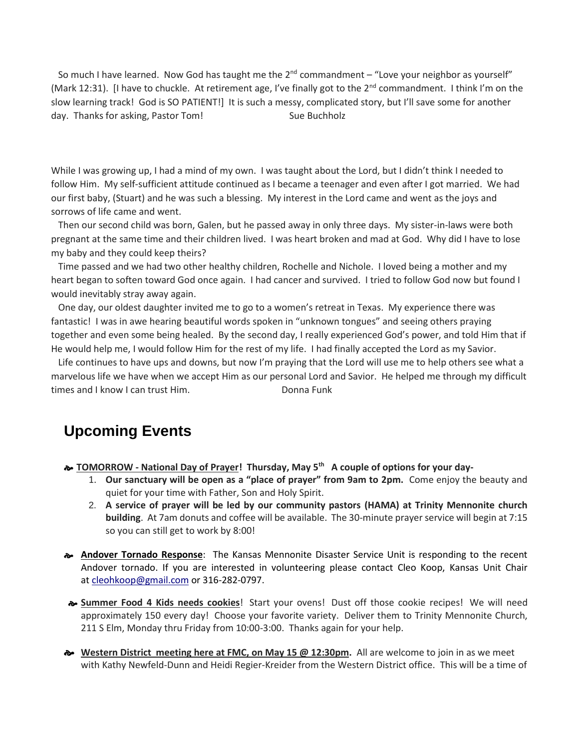So much I have learned. Now God has taught me the  $2<sup>nd</sup>$  commandment – "Love your neighbor as yourself" (Mark 12:31). [I have to chuckle. At retirement age, I've finally got to the  $2^{nd}$  commandment. I think I'm on the slow learning track! God is SO PATIENT!] It is such a messy, complicated story, but I'll save some for another day. Thanks for asking, Pastor Tom! Sue Buchholz

While I was growing up, I had a mind of my own. I was taught about the Lord, but I didn't think I needed to follow Him. My self-sufficient attitude continued as I became a teenager and even after I got married. We had our first baby, (Stuart) and he was such a blessing. My interest in the Lord came and went as the joys and sorrows of life came and went.

 Then our second child was born, Galen, but he passed away in only three days. My sister-in-laws were both pregnant at the same time and their children lived. I was heart broken and mad at God. Why did I have to lose my baby and they could keep theirs?

 Time passed and we had two other healthy children, Rochelle and Nichole. I loved being a mother and my heart began to soften toward God once again. I had cancer and survived. I tried to follow God now but found I would inevitably stray away again.

 One day, our oldest daughter invited me to go to a women's retreat in Texas. My experience there was fantastic! I was in awe hearing beautiful words spoken in "unknown tongues" and seeing others praying together and even some being healed. By the second day, I really experienced God's power, and told Him that if He would help me, I would follow Him for the rest of my life. I had finally accepted the Lord as my Savior.

 Life continues to have ups and downs, but now I'm praying that the Lord will use me to help others see what a marvelous life we have when we accept Him as our personal Lord and Savior. He helped me through my difficult times and I know I can trust Him. Donna Funk

## **Upcoming Events**

**TOMORROW - National Day of Prayer! Thursday, May 5th A couple of options for your day-**

- 1. **Our sanctuary will be open as a "place of prayer" from 9am to 2pm.** Come enjoy the beauty and quiet for your time with Father, Son and Holy Spirit.
- 2. **A service of prayer will be led by our community pastors (HAMA) at Trinity Mennonite church building**. At 7am donuts and coffee will be available. The 30-minute prayerservice will begin at 7:15 so you can still get to work by 8:00!
- **Andover Tornado Response**: The Kansas Mennonite Disaster Service Unit is responding to the recent Andover tornado. If you are interested in volunteering please contact Cleo Koop, Kansas Unit Chair at [cleohkoop@gmail.com](mailto:cleo.koop@gmail.com) or 316-282-0797.
- **Summer Food 4 Kids needs cookies**! Start your ovens! Dust off those cookie recipes! We will need approximately 150 every day! Choose your favorite variety. Deliver them to Trinity Mennonite Church, 211 S Elm, Monday thru Friday from 10:00-3:00. Thanks again for your help.
- **Western District meeting here at FMC, on May 15 @ 12:30pm.** All are welcome to join in as we meet with Kathy Newfeld-Dunn and Heidi Regier-Kreider from the Western District office. This will be a time of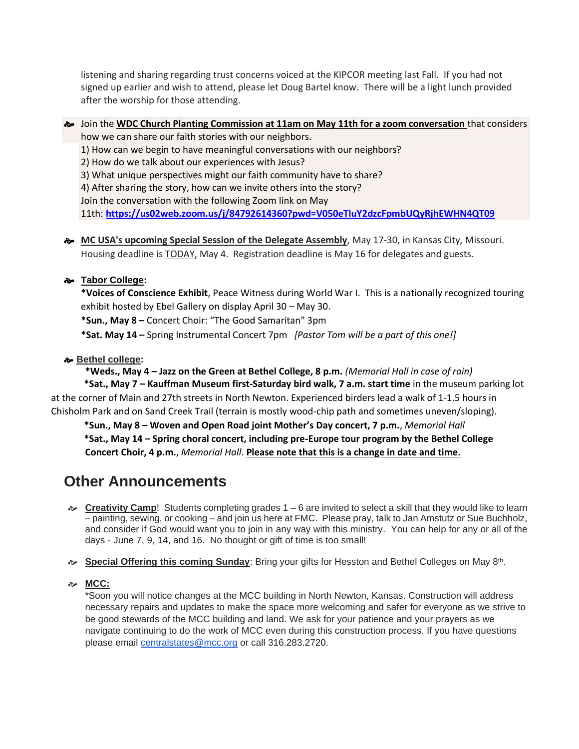listening and sharing regarding trust concerns voiced at the KIPCOR meeting last Fall. If you had not signed up earlier and wish to attend, please let Doug Bartel know. There will be a light lunch provided after the worship for those attending.

- Join the **WDC Church Planting Commission at 11am on May 11th for a zoom conversation** that considers how we can share our faith stories with our neighbors.
	- 1) How can we begin to have meaningful conversations with our neighbors?
	- 2) How do we talk about our experiences with Jesus?
	- 3) What unique perspectives might our faith community have to share?
	- 4) After sharing the story, how can we invite others into the story?

Join the conversation with the following Zoom link on May

11th: **<https://us02web.zoom.us/j/84792614360?pwd=V050eTluY2dzcFpmbUQyRjhEWHN4QT09>**

**MC USA's upcoming Special Session of the Delegate Assembly**, May 17-30, in Kansas City, Missouri. Housing deadline is TODAY, May 4. Registration deadline is May 16 for delegates and guests.

#### **Tabor College:**

**\*Voices of Conscience Exhibit**, Peace Witness during World War I. This is a nationally recognized touring exhibit hosted by Ebel Gallery on display April 30 – May 30.

**\*Sun., May 8 –** Concert Choir: "The Good Samaritan" 3pm

**\*Sat. May 14 –** Spring Instrumental Concert 7pm *[Pastor Tom will be a part of this one!]*

#### **Bethel college:**

**\*Weds., May 4 – Jazz on the Green at Bethel College, 8 p.m.** *(Memorial Hall in case of rain)*  **\*Sat., May 7 – Kauffman Museum first-Saturday bird walk, 7 a.m. start time** in the museum parking lot at the corner of Main and 27th streets in North Newton. Experienced birders lead a walk of 1-1.5 hours in Chisholm Park and on Sand Creek Trail (terrain is mostly wood-chip path and sometimes uneven/sloping).

 **\*Sun., May 8 – Woven and Open Road joint Mother's Day concert, 7 p.m.**, *Memorial Hall*  **\*Sat., May 14 – Spring choral concert, including pre-Europe tour program by the Bethel College Concert Choir, 4 p.m.**, *Memorial Hall*. **Please note that this is a change in date and time.**

# **Other Announcements**

- **Executivity Camp**! Students completing grades  $1 6$  are invited to select a skill that they would like to learn – painting, sewing, or cooking – and join us here at FMC. Please pray, talk to Jan Amstutz or Sue Buchholz, and consider if God would want you to join in any way with this ministry. You can help for any or all of the days - June 7, 9, 14, and 16. No thought or gift of time is too small!
- **& Special Offering this coming Sunday**: Bring your gifts for Hesston and Bethel Colleges on May 8th.

#### **MCC:**

\*Soon you will notice changes at the MCC building in North Newton, Kansas. Construction will address necessary repairs and updates to make the space more welcoming and safer for everyone as we strive to be good stewards of the MCC building and land. We ask for your patience and your prayers as we navigate continuing to do the work of MCC even during this construction process. If you have questions please email [centralstates@mcc.org](mailto:centralstates@mcc.org) or call 316.283.2720.